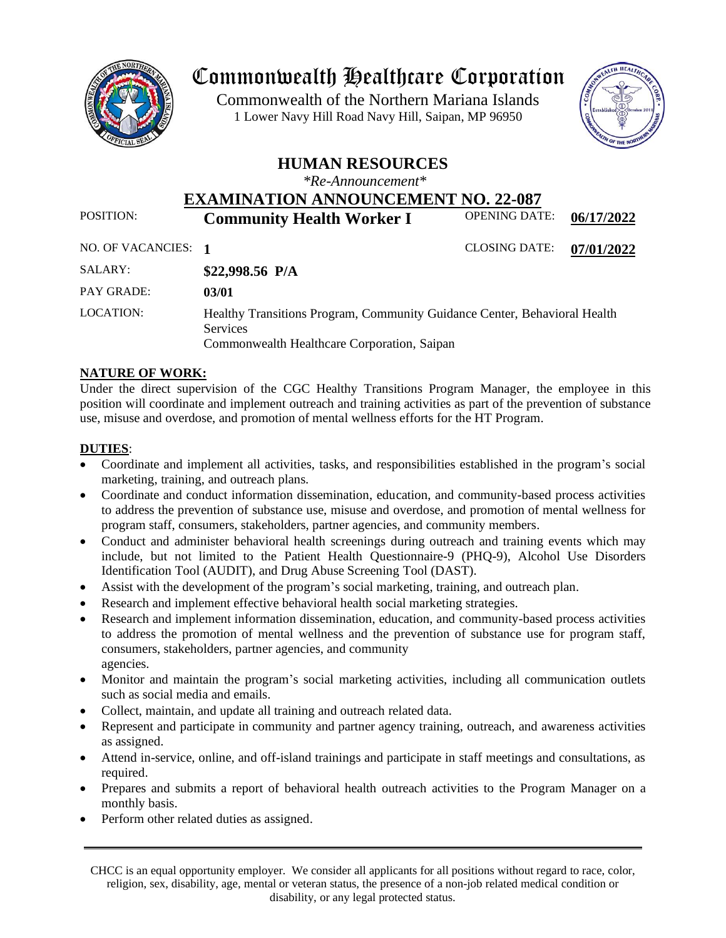

## Commonwealth Healthcare Corporation

 1 Lower Navy Hill Road Navy Hill, Saipan, MP 96950Commonwealth of the Northern Mariana Islands



### **HUMAN RESOURCES**

*\*Re-Announcement\**

# **EXAMINATION ANNOUNCEMENT NO. 22-087**<br>Community Hoolth Worker Land OPENING DATE:

POSITION: **Community Health Worker I** OPENING DATE: 06/17/2022

NO. OF VACANCIES: **1** CLOSING DATE: **07/01/2022**

| SALARY:    | \$22,998.56 $P/A$                                                                                                                           |
|------------|---------------------------------------------------------------------------------------------------------------------------------------------|
| PAY GRADE: | 03/01                                                                                                                                       |
| LOCATION:  | Healthy Transitions Program, Community Guidance Center, Behavioral Health<br><b>Services</b><br>Commonwealth Healthcare Corporation, Saipan |

#### **NATURE OF WORK:**

Under the direct supervision of the CGC Healthy Transitions Program Manager, the employee in this position will coordinate and implement outreach and training activities as part of the prevention of substance use, misuse and overdose, and promotion of mental wellness efforts for the HT Program.

#### **DUTIES**:

- Coordinate and implement all activities, tasks, and responsibilities established in the program's social marketing, training, and outreach plans.
- Coordinate and conduct information dissemination, education, and community-based process activities to address the prevention of substance use, misuse and overdose, and promotion of mental wellness for program staff, consumers, stakeholders, partner agencies, and community members.
- Conduct and administer behavioral health screenings during outreach and training events which may include, but not limited to the Patient Health Questionnaire-9 (PHQ-9), Alcohol Use Disorders Identification Tool (AUDIT), and Drug Abuse Screening Tool (DAST).
- Assist with the development of the program's social marketing, training, and outreach plan.
- Research and implement effective behavioral health social marketing strategies.
- Research and implement information dissemination, education, and community-based process activities to address the promotion of mental wellness and the prevention of substance use for program staff, consumers, stakeholders, partner agencies, and community agencies.
- Monitor and maintain the program's social marketing activities, including all communication outlets such as social media and emails.
- Collect, maintain, and update all training and outreach related data.
- Represent and participate in community and partner agency training, outreach, and awareness activities as assigned.
- Attend in-service, online, and off-island trainings and participate in staff meetings and consultations, as required.
- Prepares and submits a report of behavioral health outreach activities to the Program Manager on a monthly basis.
- Perform other related duties as assigned.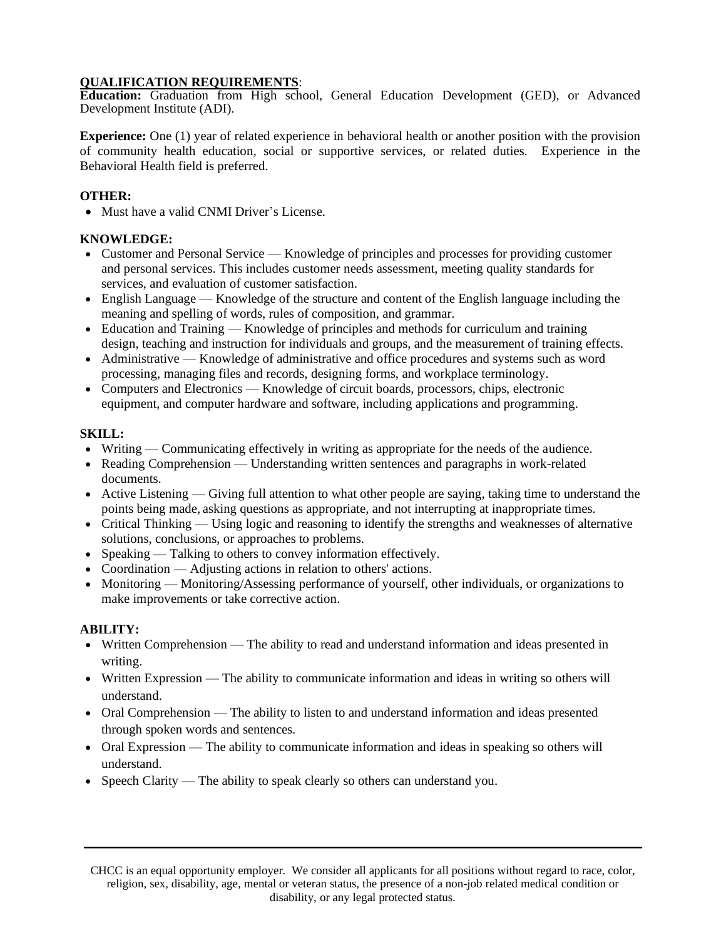#### **QUALIFICATION REQUIREMENTS**:

**Education:** Graduation from High school, General Education Development (GED), or Advanced Development Institute (ADI).

**Experience:** One (1) year of related experience in behavioral health or another position with the provision of community health education, social or supportive services, or related duties. Experience in the Behavioral Health field is preferred.

#### **OTHER:**

• Must have a valid CNMI Driver's License.

#### **KNOWLEDGE:**

- Customer and Personal Service Knowledge of principles and processes for providing customer and personal services. This includes customer needs assessment, meeting quality standards for services, and evaluation of customer satisfaction.
- English Language Knowledge of the structure and content of the English language including the meaning and spelling of words, rules of composition, and grammar.
- Education and Training Knowledge of principles and methods for curriculum and training design, teaching and instruction for individuals and groups, and the measurement of training effects.
- Administrative Knowledge of administrative and office procedures and systems such as word processing, managing files and records, designing forms, and workplace terminology.
- Computers and Electronics Knowledge of circuit boards, processors, chips, electronic equipment, and computer hardware and software, including applications and programming.

#### **SKILL:**

- Writing Communicating effectively in writing as appropriate for the needs of the audience.
- Reading Comprehension Understanding written sentences and paragraphs in work-related documents.
- Active Listening Giving full attention to what other people are saying, taking time to understand the points being made, asking questions as appropriate, and not interrupting at inappropriate times.
- Critical Thinking Using logic and reasoning to identify the strengths and weaknesses of alternative solutions, conclusions, or approaches to problems.
- Speaking Talking to others to convey information effectively.
- Coordination Adjusting actions in relation to others' actions.
- Monitoring Monitoring/Assessing performance of yourself, other individuals, or organizations to make improvements or take corrective action.

#### **ABILITY:**

- Written Comprehension The ability to read and understand information and ideas presented in writing.
- Written Expression The ability to communicate information and ideas in writing so others will understand.
- Oral Comprehension The ability to listen to and understand information and ideas presented through spoken words and sentences.
- Oral Expression The ability to communicate information and ideas in speaking so others will understand.
- Speech Clarity The ability to speak clearly so others can understand you.

CHCC is an equal opportunity employer. We consider all applicants for all positions without regard to race, color, religion, sex, disability, age, mental or veteran status, the presence of a non-job related medical condition or disability, or any legal protected status.